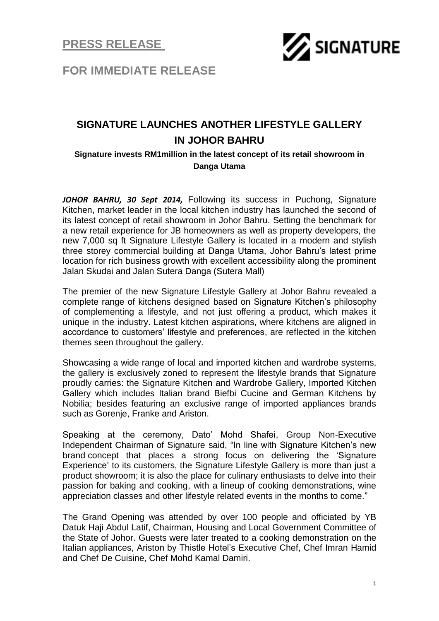

**FOR IMMEDIATE RELEASE**

## **SIGNATURE LAUNCHES ANOTHER LIFESTYLE GALLERY IN JOHOR BAHRU**

## **Signature invests RM1million in the latest concept of its retail showroom in Danga Utama**

*JOHOR BAHRU, 30 Sept 2014,* Following its success in Puchong, Signature Kitchen, market leader in the local kitchen industry has launched the second of its latest concept of retail showroom in Johor Bahru. Setting the benchmark for a new retail experience for JB homeowners as well as property developers, the new 7,000 sq ft Signature Lifestyle Gallery is located in a modern and stylish three storey commercial building at Danga Utama, Johor Bahru's latest prime location for rich business growth with excellent accessibility along the prominent Jalan Skudai and Jalan Sutera Danga (Sutera Mall)

The premier of the new Signature Lifestyle Gallery at Johor Bahru revealed a complete range of kitchens designed based on Signature Kitchen's philosophy of complementing a lifestyle, and not just offering a product, which makes it unique in the industry. Latest kitchen aspirations, where kitchens are aligned in accordance to customers' lifestyle and preferences, are reflected in the kitchen themes seen throughout the gallery.

Showcasing a wide range of local and imported kitchen and wardrobe systems, the gallery is exclusively zoned to represent the lifestyle brands that Signature proudly carries: the Signature Kitchen and Wardrobe Gallery, Imported Kitchen Gallery which includes Italian brand Biefbi Cucine and German Kitchens by Nobilia; besides featuring an exclusive range of imported appliances brands such as Gorenje, Franke and Ariston.

Speaking at the ceremony, Dato' Mohd Shafei, Group Non-Executive Independent Chairman of Signature said, "In line with Signature Kitchen's new brand concept that places a strong focus on delivering the 'Signature Experience' to its customers, the Signature Lifestyle Gallery is more than just a product showroom; it is also the place for culinary enthusiasts to delve into their passion for baking and cooking, with a lineup of cooking demonstrations, wine appreciation classes and other lifestyle related events in the months to come."

The Grand Opening was attended by over 100 people and officiated by YB Datuk Haji Abdul Latif, Chairman, Housing and Local Government Committee of the State of Johor. Guests were later treated to a cooking demonstration on the Italian appliances, Ariston by Thistle Hotel's Executive Chef, Chef Imran Hamid and Chef De Cuisine, Chef Mohd Kamal Damiri.